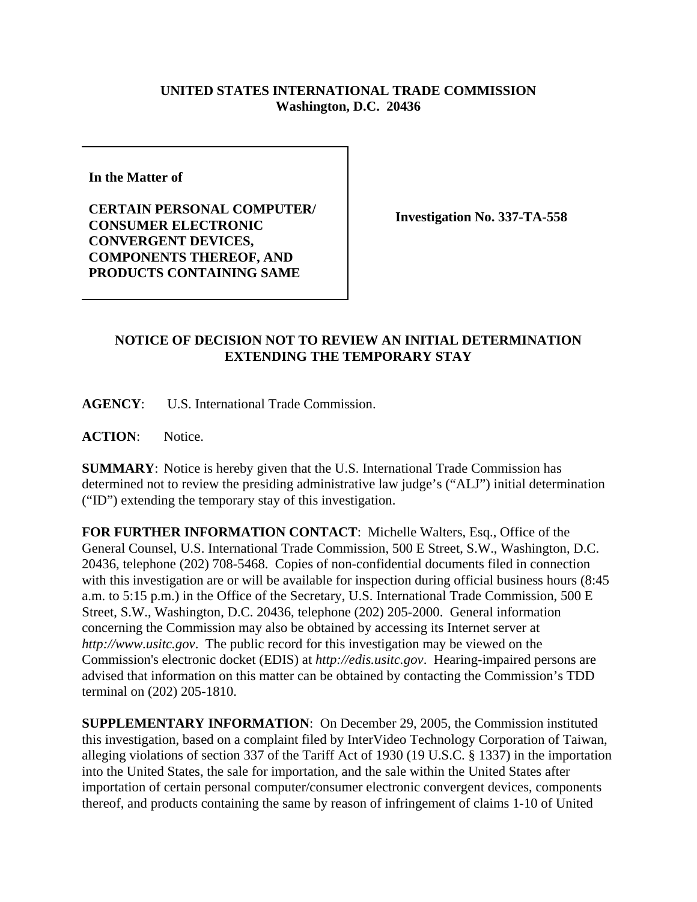## **UNITED STATES INTERNATIONAL TRADE COMMISSION Washington, D.C. 20436**

**In the Matter of** 

**CERTAIN PERSONAL COMPUTER/ CONSUMER ELECTRONIC CONVERGENT DEVICES, COMPONENTS THEREOF, AND PRODUCTS CONTAINING SAME**

**Investigation No. 337-TA-558**

## **NOTICE OF DECISION NOT TO REVIEW AN INITIAL DETERMINATION EXTENDING THE TEMPORARY STAY**

**AGENCY**: U.S. International Trade Commission.

**ACTION**: Notice.

**SUMMARY**: Notice is hereby given that the U.S. International Trade Commission has determined not to review the presiding administrative law judge's ("ALJ") initial determination ("ID") extending the temporary stay of this investigation.

**FOR FURTHER INFORMATION CONTACT**: Michelle Walters, Esq., Office of the General Counsel, U.S. International Trade Commission, 500 E Street, S.W., Washington, D.C. 20436, telephone (202) 708-5468. Copies of non-confidential documents filed in connection with this investigation are or will be available for inspection during official business hours (8:45 a.m. to 5:15 p.m.) in the Office of the Secretary, U.S. International Trade Commission, 500 E Street, S.W., Washington, D.C. 20436, telephone (202) 205-2000. General information concerning the Commission may also be obtained by accessing its Internet server at *http://www.usitc.gov*. The public record for this investigation may be viewed on the Commission's electronic docket (EDIS) at *http://edis.usitc.gov*. Hearing-impaired persons are advised that information on this matter can be obtained by contacting the Commission's TDD terminal on (202) 205-1810.

**SUPPLEMENTARY INFORMATION**: On December 29, 2005, the Commission instituted this investigation, based on a complaint filed by InterVideo Technology Corporation of Taiwan, alleging violations of section 337 of the Tariff Act of 1930 (19 U.S.C. § 1337) in the importation into the United States, the sale for importation, and the sale within the United States after importation of certain personal computer/consumer electronic convergent devices, components thereof, and products containing the same by reason of infringement of claims 1-10 of United